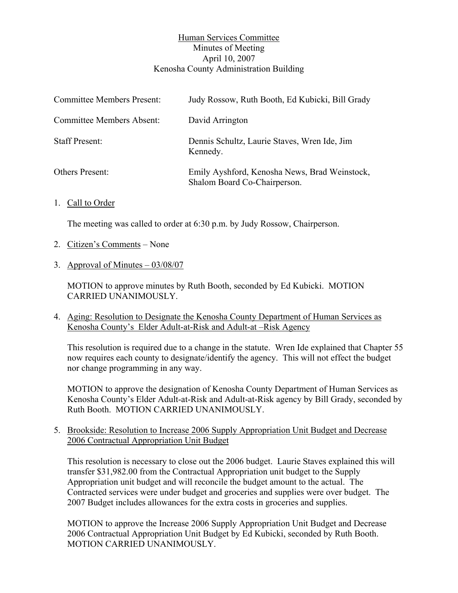## Human Services Committee Minutes of Meeting April 10, 2007 Kenosha County Administration Building

| <b>Committee Members Present:</b> | Judy Rossow, Ruth Booth, Ed Kubicki, Bill Grady                               |
|-----------------------------------|-------------------------------------------------------------------------------|
| <b>Committee Members Absent:</b>  | David Arrington                                                               |
| <b>Staff Present:</b>             | Dennis Schultz, Laurie Staves, Wren Ide, Jim<br>Kennedy.                      |
| <b>Others Present:</b>            | Emily Ayshford, Kenosha News, Brad Weinstock,<br>Shalom Board Co-Chairperson. |

1. Call to Order

The meeting was called to order at 6:30 p.m. by Judy Rossow, Chairperson.

- 2. Citizen's Comments None
- 3. Approval of Minutes 03/08/07

MOTION to approve minutes by Ruth Booth, seconded by Ed Kubicki. MOTION CARRIED UNANIMOUSLY.

4. Aging: Resolution to Designate the Kenosha County Department of Human Services as Kenosha County's Elder Adult-at-Risk and Adult-at –Risk Agency

This resolution is required due to a change in the statute. Wren Ide explained that Chapter 55 now requires each county to designate/identify the agency. This will not effect the budget nor change programming in any way.

MOTION to approve the designation of Kenosha County Department of Human Services as Kenosha County's Elder Adult-at-Risk and Adult-at-Risk agency by Bill Grady, seconded by Ruth Booth. MOTION CARRIED UNANIMOUSLY.

5. Brookside: Resolution to Increase 2006 Supply Appropriation Unit Budget and Decrease 2006 Contractual Appropriation Unit Budget

This resolution is necessary to close out the 2006 budget. Laurie Staves explained this will transfer \$31,982.00 from the Contractual Appropriation unit budget to the Supply Appropriation unit budget and will reconcile the budget amount to the actual. The Contracted services were under budget and groceries and supplies were over budget. The 2007 Budget includes allowances for the extra costs in groceries and supplies.

MOTION to approve the Increase 2006 Supply Appropriation Unit Budget and Decrease 2006 Contractual Appropriation Unit Budget by Ed Kubicki, seconded by Ruth Booth. MOTION CARRIED UNANIMOUSLY.